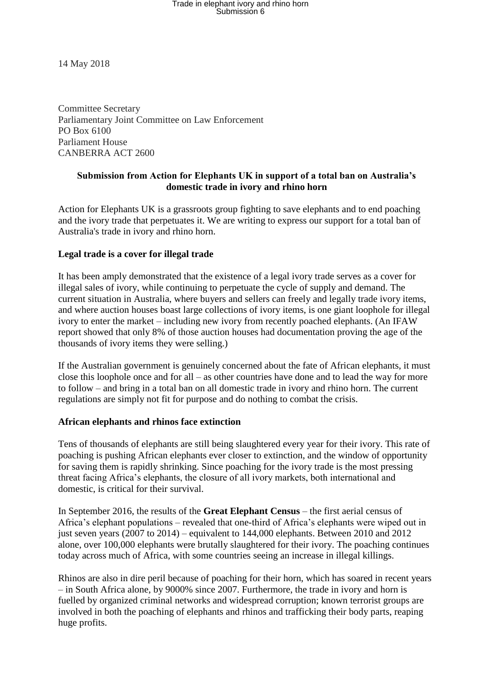# Trade in elephant ivory and rhino horn<br>Submission 6

14 May 2018

Committee Secretary Parliamentary Joint Committee on Law Enforcement PO Box 6100 Parliament House CANBERRA ACT 2600

## **Submission from Action for Elephants UK in support of a total ban on Australia's domestic trade in ivory and rhino horn**

Action for Elephants UK is a grassroots group fighting to save elephants and to end poaching and the ivory trade that perpetuates it. We are writing to express our support for a total ban of Australia's trade in ivory and rhino horn.

## **Legal trade is a cover for illegal trade**

It has been amply demonstrated that the existence of a legal ivory trade serves as a cover for illegal sales of ivory, while continuing to perpetuate the cycle of supply and demand. The current situation in Australia, where buyers and sellers can freely and legally trade ivory items, and where auction houses boast large collections of ivory items, is one giant loophole for illegal ivory to enter the market – including new ivory from recently poached elephants. (An IFAW report showed that only 8% of those auction houses had documentation proving the age of the thousands of ivory items they were selling.)

If the Australian government is genuinely concerned about the fate of African elephants, it must close this loophole once and for all – as other countries have done and to lead the way for more to follow – and bring in a total ban on all domestic trade in ivory and rhino horn. The current regulations are simply not fit for purpose and do nothing to combat the crisis.

#### **African elephants and rhinos face extinction**

Tens of thousands of elephants are still being slaughtered every year for their ivory. This rate of poaching is pushing African elephants ever closer to extinction, and the window of opportunity for saving them is rapidly shrinking. Since poaching for the ivory trade is the most pressing threat facing Africa's elephants, the closure of all ivory markets, both international and domestic, is critical for their survival.

In September 2016, the results of the **Great Elephant Census** – the first aerial census of Africa's elephant populations – revealed that one-third of Africa's elephants were wiped out in just seven years (2007 to 2014) – equivalent to 144,000 elephants. Between 2010 and 2012 alone, over 100,000 elephants were brutally slaughtered for their ivory. The poaching continues today across much of Africa, with some countries seeing an increase in illegal killings.

Rhinos are also in dire peril because of poaching for their horn, which has soared in recent years – in South Africa alone, by 9000% since 2007. Furthermore, the trade in ivory and horn is fuelled by organized criminal networks and widespread corruption; known terrorist groups are involved in both the poaching of elephants and rhinos and trafficking their body parts, reaping huge profits.